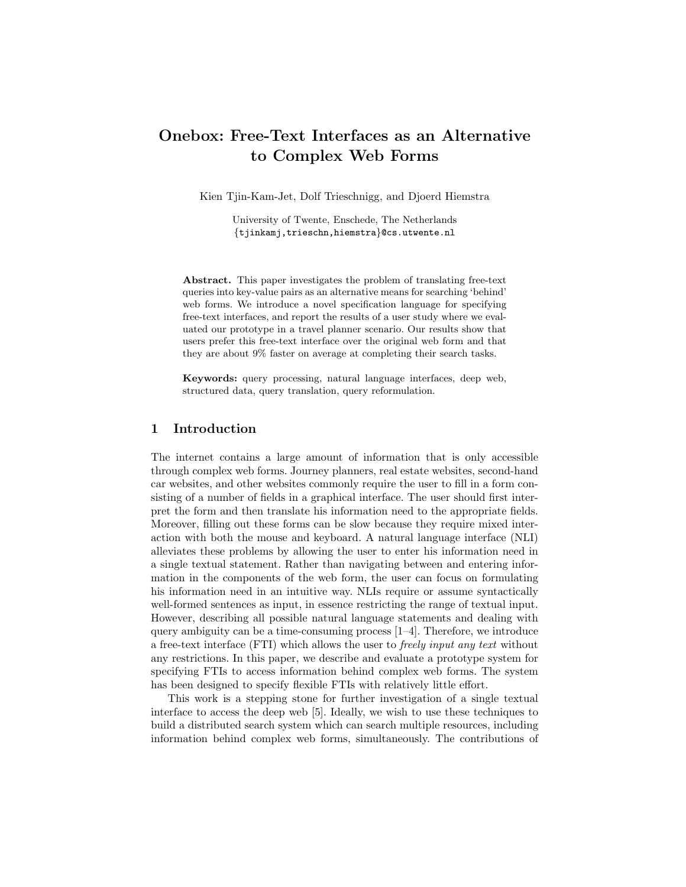# Onebox: Free-Text Interfaces as an Alternative to Complex Web Forms

Kien Tjin-Kam-Jet, Dolf Trieschnigg, and Djoerd Hiemstra

University of Twente, Enschede, The Netherlands {tjinkamj,trieschn,hiemstra}@cs.utwente.nl

Abstract. This paper investigates the problem of translating free-text queries into key-value pairs as an alternative means for searching 'behind' web forms. We introduce a novel specification language for specifying free-text interfaces, and report the results of a user study where we evaluated our prototype in a travel planner scenario. Our results show that users prefer this free-text interface over the original web form and that they are about 9% faster on average at completing their search tasks.

Keywords: query processing, natural language interfaces, deep web, structured data, query translation, query reformulation.

#### 1 Introduction

The internet contains a large amount of information that is only accessible through complex web forms. Journey planners, real estate websites, second-hand car websites, and other websites commonly require the user to fill in a form consisting of a number of fields in a graphical interface. The user should first interpret the form and then translate his information need to the appropriate fields. Moreover, filling out these forms can be slow because they require mixed interaction with both the mouse and keyboard. A natural language interface (NLI) alleviates these problems by allowing the user to enter his information need in a single textual statement. Rather than navigating between and entering information in the components of the web form, the user can focus on formulating his information need in an intuitive way. NLIs require or assume syntactically well-formed sentences as input, in essence restricting the range of textual input. However, describing all possible natural language statements and dealing with query ambiguity can be a time-consuming process [1–4]. Therefore, we introduce a free-text interface (FTI) which allows the user to freely input any text without any restrictions. In this paper, we describe and evaluate a prototype system for specifying FTIs to access information behind complex web forms. The system has been designed to specify flexible FTIs with relatively little effort.

This work is a stepping stone for further investigation of a single textual interface to access the deep web [5]. Ideally, we wish to use these techniques to build a distributed search system which can search multiple resources, including information behind complex web forms, simultaneously. The contributions of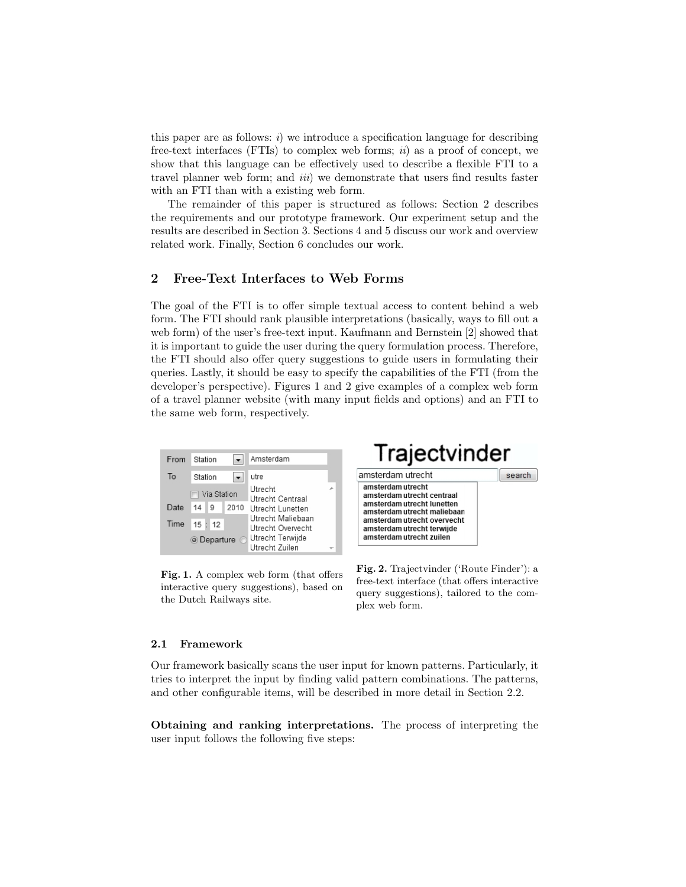this paper are as follows:  $i)$  we introduce a specification language for describing free-text interfaces (FTIs) to complex web forms;  $ii$  as a proof of concept, we show that this language can be effectively used to describe a flexible FTI to a travel planner web form; and *iii*) we demonstrate that users find results faster with an FTI than with a existing web form.

The remainder of this paper is structured as follows: Section 2 describes the requirements and our prototype framework. Our experiment setup and the results are described in Section 3. Sections 4 and 5 discuss our work and overview related work. Finally, Section 6 concludes our work.

# 2 Free-Text Interfaces to Web Forms

The goal of the FTI is to offer simple textual access to content behind a web form. The FTI should rank plausible interpretations (basically, ways to fill out a web form) of the user's free-text input. Kaufmann and Bernstein [2] showed that it is important to guide the user during the query formulation process. Therefore, the FTI should also offer query suggestions to guide users in formulating their queries. Lastly, it should be easy to specify the capabilities of the FTI (from the developer's perspective). Figures 1 and 2 give examples of a complex web form of a travel planner website (with many input fields and options) and an FTI to the same web form, respectively.

| From | Station       |      | Amsterdam                              |  |
|------|---------------|------|----------------------------------------|--|
| То   | Station       |      | utre                                   |  |
|      | Via Station   |      | Utrecht<br>Utrecht Centraal            |  |
| Date | 9<br>14       | 2010 | Utrecht Lunetten                       |  |
| Time | 15 : 12       |      | Utrecht Maliebaan<br>Utrecht Overvecht |  |
|      | ◎ Departure ◎ |      | Utrecht Terwijde<br>Utrecht Zuilen     |  |

Fig. 1. A complex web form (that offers interactive query suggestions), based on the Dutch Railways site.

# Trajectvinder amsterdam utrecht search

amsterdam utrecht amsterdam utrecht centraal amsterdam utrecht lunetten amsterdam utrecht maliebaan amsterdam utrecht overvecht amsterdam utrecht terwijde amsterdam utrecht zuilen

Fig. 2. Trajectvinder ('Route Finder'): a free-text interface (that offers interactive query suggestions), tailored to the complex web form.

#### 2.1 Framework

Our framework basically scans the user input for known patterns. Particularly, it tries to interpret the input by finding valid pattern combinations. The patterns, and other configurable items, will be described in more detail in Section 2.2.

Obtaining and ranking interpretations. The process of interpreting the user input follows the following five steps: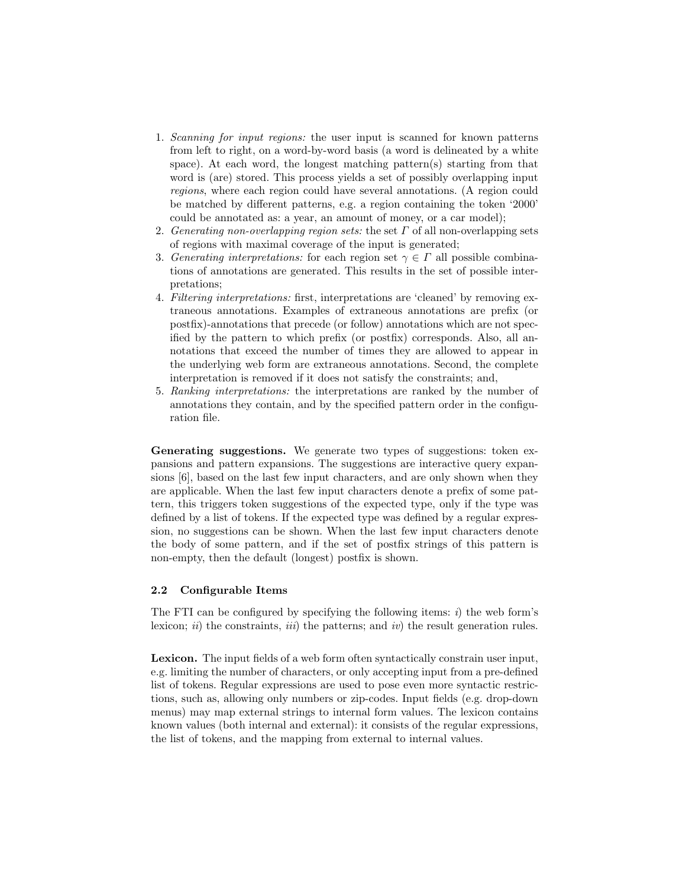- 1. Scanning for input regions: the user input is scanned for known patterns from left to right, on a word-by-word basis (a word is delineated by a white space). At each word, the longest matching pattern(s) starting from that word is (are) stored. This process yields a set of possibly overlapping input regions, where each region could have several annotations. (A region could be matched by different patterns, e.g. a region containing the token '2000' could be annotated as: a year, an amount of money, or a car model);
- 2. Generating non-overlapping region sets: the set  $\Gamma$  of all non-overlapping sets of regions with maximal coverage of the input is generated;
- 3. Generating interpretations: for each region set  $\gamma \in \Gamma$  all possible combinations of annotations are generated. This results in the set of possible interpretations;
- 4. Filtering interpretations: first, interpretations are 'cleaned' by removing extraneous annotations. Examples of extraneous annotations are prefix (or postfix)-annotations that precede (or follow) annotations which are not specified by the pattern to which prefix (or postfix) corresponds. Also, all annotations that exceed the number of times they are allowed to appear in the underlying web form are extraneous annotations. Second, the complete interpretation is removed if it does not satisfy the constraints; and,
- 5. Ranking interpretations: the interpretations are ranked by the number of annotations they contain, and by the specified pattern order in the configuration file.

Generating suggestions. We generate two types of suggestions: token expansions and pattern expansions. The suggestions are interactive query expansions [6], based on the last few input characters, and are only shown when they are applicable. When the last few input characters denote a prefix of some pattern, this triggers token suggestions of the expected type, only if the type was defined by a list of tokens. If the expected type was defined by a regular expression, no suggestions can be shown. When the last few input characters denote the body of some pattern, and if the set of postfix strings of this pattern is non-empty, then the default (longest) postfix is shown.

#### 2.2 Configurable Items

The FTI can be configured by specifying the following items:  $i)$  the web form's lexicon;  $ii)$  the constraints,  $iii)$  the patterns; and  $iv)$  the result generation rules.

Lexicon. The input fields of a web form often syntactically constrain user input, e.g. limiting the number of characters, or only accepting input from a pre-defined list of tokens. Regular expressions are used to pose even more syntactic restrictions, such as, allowing only numbers or zip-codes. Input fields (e.g. drop-down menus) may map external strings to internal form values. The lexicon contains known values (both internal and external): it consists of the regular expressions, the list of tokens, and the mapping from external to internal values.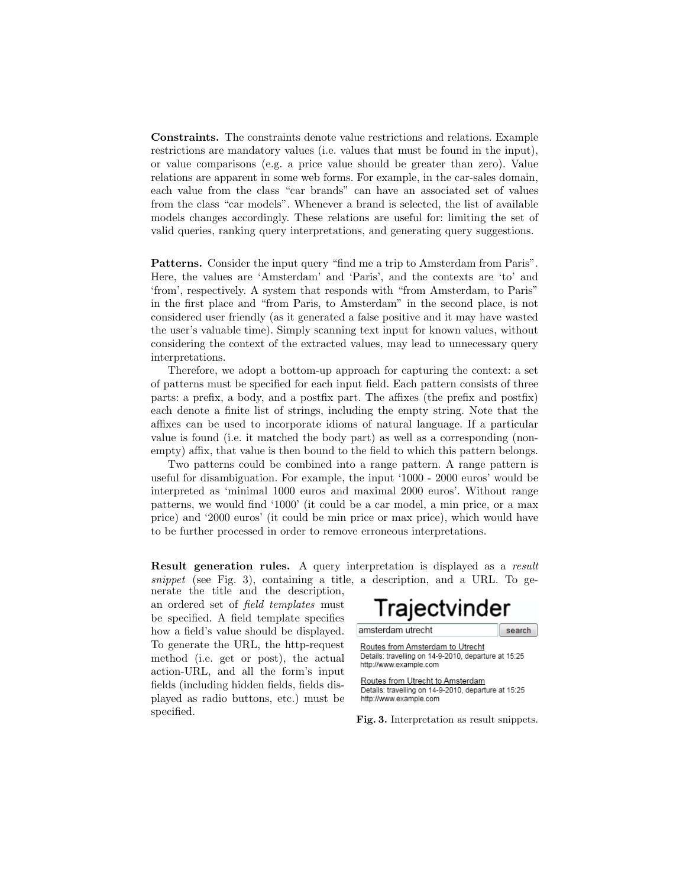Constraints. The constraints denote value restrictions and relations. Example restrictions are mandatory values (i.e. values that must be found in the input), or value comparisons (e.g. a price value should be greater than zero). Value relations are apparent in some web forms. For example, in the car-sales domain, each value from the class "car brands" can have an associated set of values from the class "car models". Whenever a brand is selected, the list of available models changes accordingly. These relations are useful for: limiting the set of valid queries, ranking query interpretations, and generating query suggestions.

Patterns. Consider the input query "find me a trip to Amsterdam from Paris". Here, the values are 'Amsterdam' and 'Paris', and the contexts are 'to' and 'from', respectively. A system that responds with "from Amsterdam, to Paris" in the first place and "from Paris, to Amsterdam" in the second place, is not considered user friendly (as it generated a false positive and it may have wasted the user's valuable time). Simply scanning text input for known values, without considering the context of the extracted values, may lead to unnecessary query interpretations.

Therefore, we adopt a bottom-up approach for capturing the context: a set of patterns must be specified for each input field. Each pattern consists of three parts: a prefix, a body, and a postfix part. The affixes (the prefix and postfix) each denote a finite list of strings, including the empty string. Note that the affixes can be used to incorporate idioms of natural language. If a particular value is found (i.e. it matched the body part) as well as a corresponding (nonempty) affix, that value is then bound to the field to which this pattern belongs.

Two patterns could be combined into a range pattern. A range pattern is useful for disambiguation. For example, the input '1000 - 2000 euros' would be interpreted as 'minimal 1000 euros and maximal 2000 euros'. Without range patterns, we would find '1000' (it could be a car model, a min price, or a max price) and '2000 euros' (it could be min price or max price), which would have to be further processed in order to remove erroneous interpretations.

Result generation rules. A query interpretation is displayed as a result snippet (see Fig. 3), containing a title, a description, and a URL. To ge-

nerate the title and the description, an ordered set of field templates must be specified. A field template specifies how a field's value should be displayed. To generate the URL, the http-request method (i.e. get or post), the actual action-URL, and all the form's input fields (including hidden fields, fields displayed as radio buttons, etc.) must be specified.



http://www.example.com Routes from Utrecht to Amsterdam

Details: travelling on 14-9-2010, departure at 15:25 http://www.example.com

Fig. 3. Interpretation as result snippets.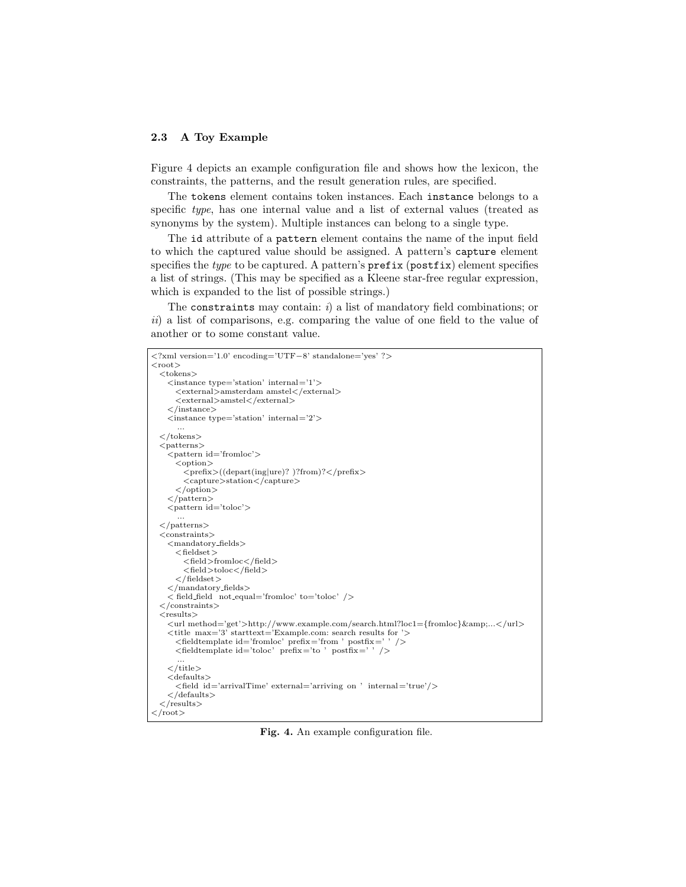#### 2.3 A Toy Example

Figure 4 depicts an example configuration file and shows how the lexicon, the constraints, the patterns, and the result generation rules, are specified.

The tokens element contains token instances. Each instance belongs to a specific type, has one internal value and a list of external values (treated as synonyms by the system). Multiple instances can belong to a single type.

The id attribute of a pattern element contains the name of the input field to which the captured value should be assigned. A pattern's capture element specifies the type to be captured. A pattern's  $\text{prefix}(\text{postfix})$  element specifies a list of strings. (This may be specified as a Kleene star-free regular expression, which is expanded to the list of possible strings.)

The constraints may contain: i) a list of mandatory field combinations; or ii) a list of comparisons, e.g. comparing the value of one field to the value of another or to some constant value.

```
<?xml version='1.0' encoding='UTF−8' standalone='yes' ?>
<root><tokens>
    <instance type='station' internal='1'>
      <external>amsterdam amstel</external>
      <external>amstel</external>
    \langle/instance\rangle\langle instance type='station' internal='2'>
  ...
</tokens>
  <patterns><pattern id='fromloc'>
      <option>
        <prefix>((depart(ing|ure)? )?from)?</prefix>
         <capture>station</capture>
      </option>
    \langlepattern>\langlepattern id='toloc'>...
  \langle/patterns>
  \langle constraints\rangle<mandatory_fields><fieldset><field>fromloc</field>
         <field>toloc</field>
      \langle fieldset >\langle/mandatory_fields>
    < field field not equal='fromloc' to='toloc' />
  </constraints>
  \langleresults><url method='get'>http://www.example.com/search.html?loc1={fromloc}&...</url>
<title max='3' starttext='Example.com: search results for '>
      \leqfieldtemplate id='fromloc' prefix='from ' postfix=' ' />
      \langlefieldtemplate id='toloc' prefix='to ' postfix=' ' />
    …<br></title>
    <defaults>
      \langle field id='arrivalTime' external='arriving on ' internal='true'/></defaults>
  \langleresults>
\langleroot>
```
Fig. 4. An example configuration file.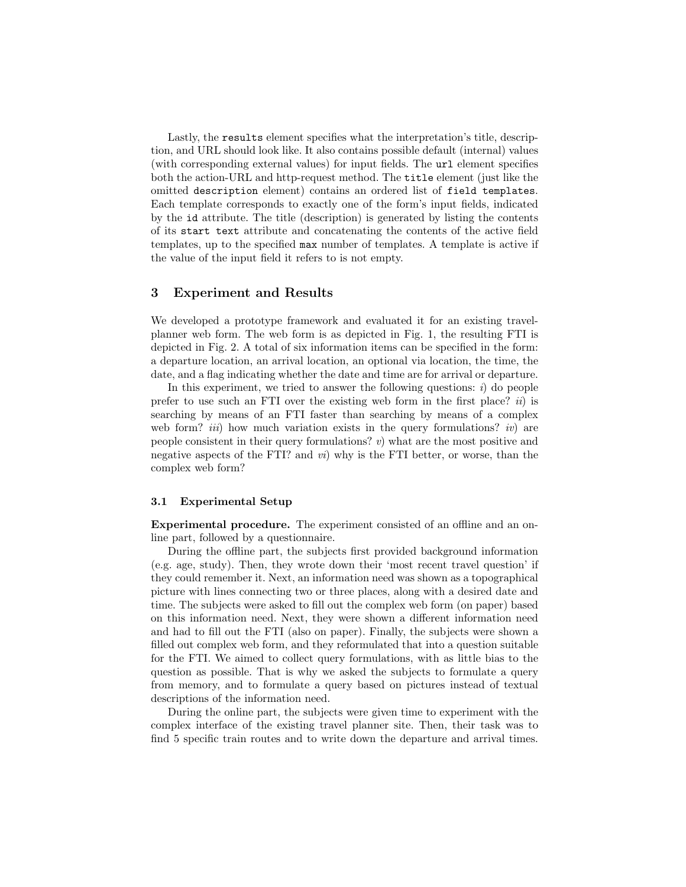Lastly, the results element specifies what the interpretation's title, description, and URL should look like. It also contains possible default (internal) values (with corresponding external values) for input fields. The url element specifies both the action-URL and http-request method. The title element (just like the omitted description element) contains an ordered list of field templates. Each template corresponds to exactly one of the form's input fields, indicated by the id attribute. The title (description) is generated by listing the contents of its start text attribute and concatenating the contents of the active field templates, up to the specified max number of templates. A template is active if the value of the input field it refers to is not empty.

# 3 Experiment and Results

We developed a prototype framework and evaluated it for an existing travelplanner web form. The web form is as depicted in Fig. 1, the resulting FTI is depicted in Fig. 2. A total of six information items can be specified in the form: a departure location, an arrival location, an optional via location, the time, the date, and a flag indicating whether the date and time are for arrival or departure.

In this experiment, we tried to answer the following questions:  $i$ ) do people prefer to use such an FTI over the existing web form in the first place?  $ii$  is searching by means of an FTI faster than searching by means of a complex web form? *iii*) how much variation exists in the query formulations? *iv*) are people consistent in their query formulations?  $v$ ) what are the most positive and negative aspects of the FTI? and  $vi$ ) why is the FTI better, or worse, than the complex web form?

#### 3.1 Experimental Setup

Experimental procedure. The experiment consisted of an offline and an online part, followed by a questionnaire.

During the offline part, the subjects first provided background information (e.g. age, study). Then, they wrote down their 'most recent travel question' if they could remember it. Next, an information need was shown as a topographical picture with lines connecting two or three places, along with a desired date and time. The subjects were asked to fill out the complex web form (on paper) based on this information need. Next, they were shown a different information need and had to fill out the FTI (also on paper). Finally, the subjects were shown a filled out complex web form, and they reformulated that into a question suitable for the FTI. We aimed to collect query formulations, with as little bias to the question as possible. That is why we asked the subjects to formulate a query from memory, and to formulate a query based on pictures instead of textual descriptions of the information need.

During the online part, the subjects were given time to experiment with the complex interface of the existing travel planner site. Then, their task was to find 5 specific train routes and to write down the departure and arrival times.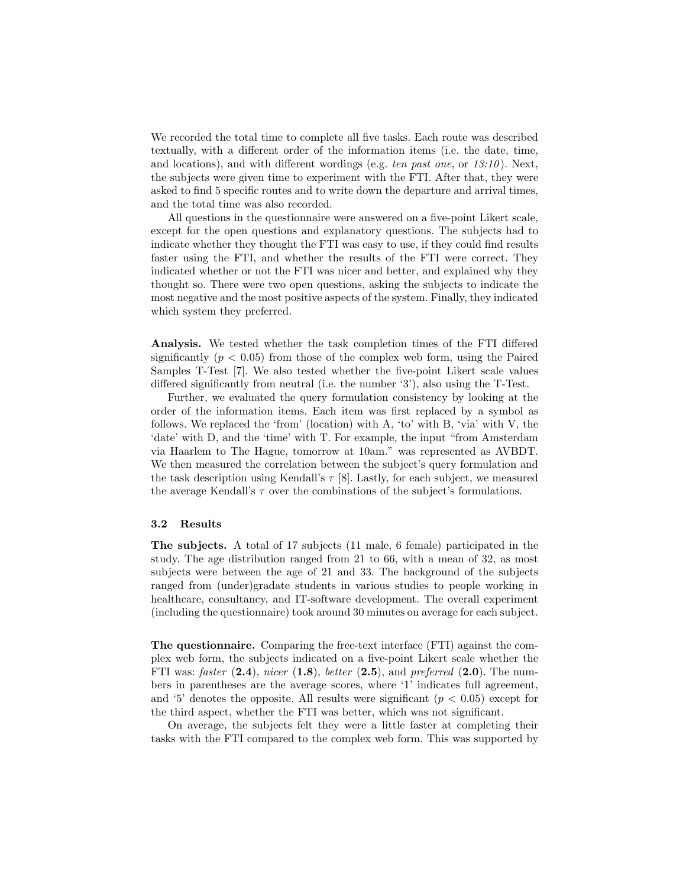We recorded the total time to complete all five tasks. Each route was described textually, with a different order of the information items (i.e. the date, time, and locations), and with different wordings (e.g. ten past one, or  $13:10$ ). Next, the subjects were given time to experiment with the FTI. After that, they were asked to find 5 specific routes and to write down the departure and arrival times, and the total time was also recorded.

All questions in the questionnaire were answered on a five-point Likert scale, except for the open questions and explanatory questions. The subjects had to indicate whether they thought the FTI was easy to use, if they could find results faster using the FTI, and whether the results of the FTI were correct. They indicated whether or not the FTI was nicer and better, and explained why they thought so. There were two open questions, asking the subjects to indicate the most negative and the most positive aspects of the system. Finally, they indicated which system they preferred.

Analysis. We tested whether the task completion times of the FTI differed significantly  $(p < 0.05)$  from those of the complex web form, using the Paired Samples T-Test [7]. We also tested whether the five-point Likert scale values differed significantly from neutral (i.e. the number '3'), also using the T-Test.

Further, we evaluated the query formulation consistency by looking at the order of the information items. Each item was first replaced by a symbol as follows. We replaced the 'from' (location) with A, 'to' with B, 'via' with V, the 'date' with D, and the 'time' with T. For example, the input "from Amsterdam via Haarlem to The Hague, tomorrow at 10am." was represented as AVBDT. We then measured the correlation between the subject's query formulation and the task description using Kendall's  $\tau$  [8]. Lastly, for each subject, we measured the average Kendall's  $\tau$  over the combinations of the subject's formulations.

#### 3.2 Results

The subjects. A total of 17 subjects (11 male, 6 female) participated in the study. The age distribution ranged from 21 to 66, with a mean of 32, as most subjects were between the age of 21 and 33. The background of the subjects ranged from (under)gradate students in various studies to people working in healthcare, consultancy, and IT-software development. The overall experiment (including the questionnaire) took around 30 minutes on average for each subject.

The questionnaire. Comparing the free-text interface (FTI) against the complex web form, the subjects indicated on a five-point Likert scale whether the FTI was: faster  $(2.4)$ , nicer  $(1.8)$ , better  $(2.5)$ , and preferred  $(2.0)$ . The numbers in parentheses are the average scores, where '1' indicates full agreement, and '5' denotes the opposite. All results were significant ( $p < 0.05$ ) except for the third aspect, whether the FTI was better, which was not significant.

On average, the subjects felt they were a little faster at completing their tasks with the FTI compared to the complex web form. This was supported by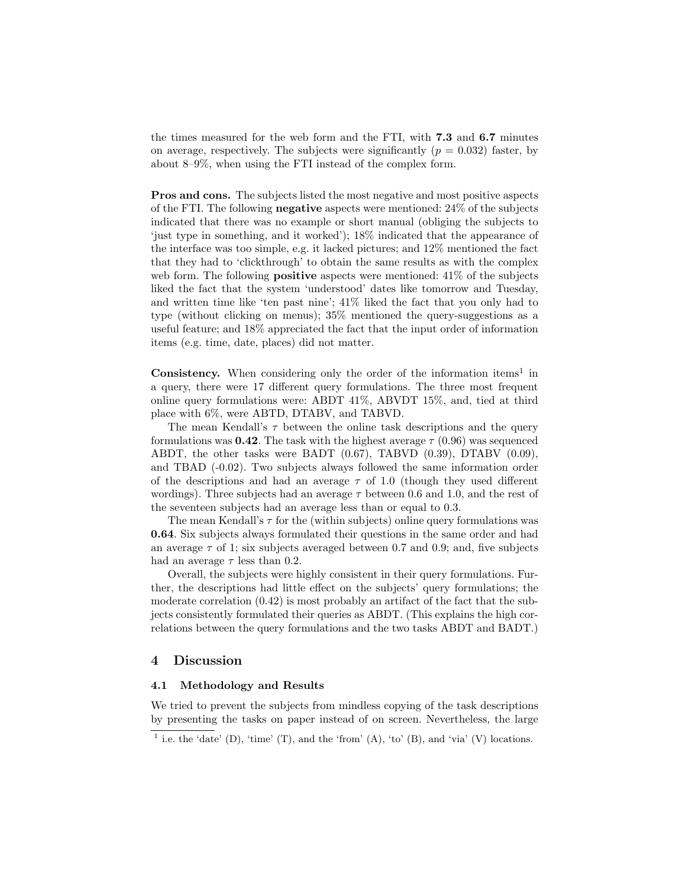the times measured for the web form and the FTI, with 7.3 and 6.7 minutes on average, respectively. The subjects were significantly  $(p = 0.032)$  faster, by about 8–9%, when using the FTI instead of the complex form.

Pros and cons. The subjects listed the most negative and most positive aspects of the FTI. The following negative aspects were mentioned: 24% of the subjects indicated that there was no example or short manual (obliging the subjects to 'just type in something, and it worked'); 18% indicated that the appearance of the interface was too simple, e.g. it lacked pictures; and 12% mentioned the fact that they had to 'clickthrough' to obtain the same results as with the complex web form. The following **positive** aspects were mentioned:  $41\%$  of the subjects liked the fact that the system 'understood' dates like tomorrow and Tuesday, and written time like 'ten past nine'; 41% liked the fact that you only had to type (without clicking on menus); 35% mentioned the query-suggestions as a useful feature; and 18% appreciated the fact that the input order of information items (e.g. time, date, places) did not matter.

**Consistency.** When considering only the order of the information items<sup>1</sup> in a query, there were 17 different query formulations. The three most frequent online query formulations were: ABDT 41%, ABVDT 15%, and, tied at third place with 6%, were ABTD, DTABV, and TABVD.

The mean Kendall's  $\tau$  between the online task descriptions and the query formulations was **0.42**. The task with the highest average  $\tau$  (0.96) was sequenced ABDT, the other tasks were BADT (0.67), TABVD (0.39), DTABV (0.09), and TBAD (-0.02). Two subjects always followed the same information order of the descriptions and had an average  $\tau$  of 1.0 (though they used different wordings). Three subjects had an average  $\tau$  between 0.6 and 1.0, and the rest of the seventeen subjects had an average less than or equal to 0.3.

The mean Kendall's  $\tau$  for the (within subjects) online query formulations was 0.64. Six subjects always formulated their questions in the same order and had an average  $\tau$  of 1; six subjects averaged between 0.7 and 0.9; and, five subjects had an average  $\tau$  less than 0.2.

Overall, the subjects were highly consistent in their query formulations. Further, the descriptions had little effect on the subjects' query formulations; the moderate correlation (0.42) is most probably an artifact of the fact that the subjects consistently formulated their queries as ABDT. (This explains the high correlations between the query formulations and the two tasks ABDT and BADT.)

#### 4 Discussion

#### 4.1 Methodology and Results

We tried to prevent the subjects from mindless copying of the task descriptions by presenting the tasks on paper instead of on screen. Nevertheless, the large

<sup>&</sup>lt;sup>1</sup> i.e. the 'date' (D), 'time' (T), and the 'from' (A), 'to' (B), and 'via' (V) locations.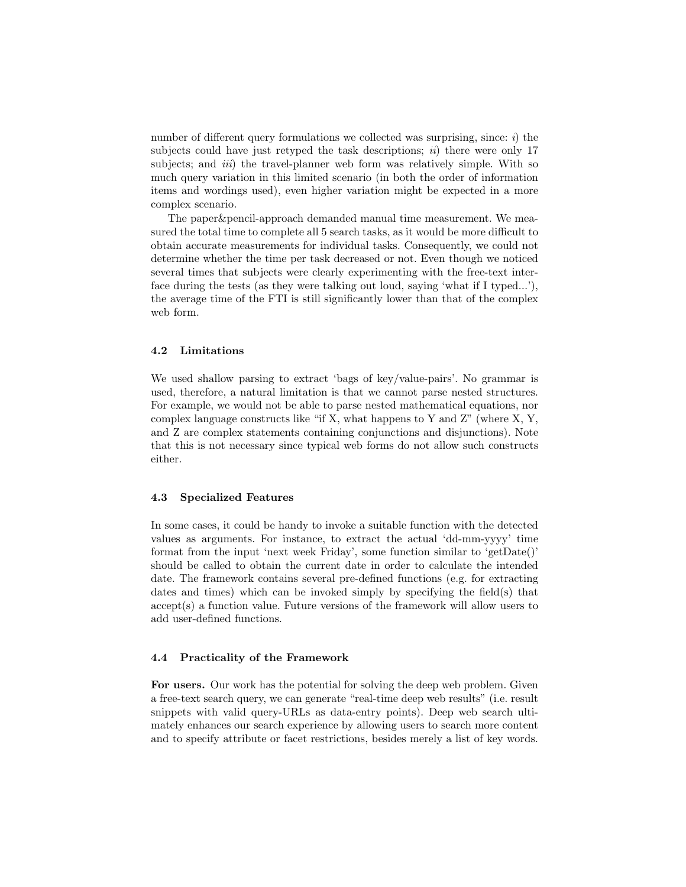number of different query formulations we collected was surprising, since:  $i$ ) the subjects could have just retyped the task descriptions;  $ii)$  there were only 17 subjects; and *iii*) the travel-planner web form was relatively simple. With so much query variation in this limited scenario (in both the order of information items and wordings used), even higher variation might be expected in a more complex scenario.

The paper&pencil-approach demanded manual time measurement. We measured the total time to complete all 5 search tasks, as it would be more difficult to obtain accurate measurements for individual tasks. Consequently, we could not determine whether the time per task decreased or not. Even though we noticed several times that subjects were clearly experimenting with the free-text interface during the tests (as they were talking out loud, saying 'what if I typed...'), the average time of the FTI is still significantly lower than that of the complex web form.

#### 4.2 Limitations

We used shallow parsing to extract 'bags of key/value-pairs'. No grammar is used, therefore, a natural limitation is that we cannot parse nested structures. For example, we would not be able to parse nested mathematical equations, nor complex language constructs like "if X, what happens to Y and Z" (where X, Y, and Z are complex statements containing conjunctions and disjunctions). Note that this is not necessary since typical web forms do not allow such constructs either.

#### 4.3 Specialized Features

In some cases, it could be handy to invoke a suitable function with the detected values as arguments. For instance, to extract the actual 'dd-mm-yyyy' time format from the input 'next week Friday', some function similar to 'getDate()' should be called to obtain the current date in order to calculate the intended date. The framework contains several pre-defined functions (e.g. for extracting dates and times) which can be invoked simply by specifying the field(s) that accept(s) a function value. Future versions of the framework will allow users to add user-defined functions.

#### 4.4 Practicality of the Framework

For users. Our work has the potential for solving the deep web problem. Given a free-text search query, we can generate "real-time deep web results" (i.e. result snippets with valid query-URLs as data-entry points). Deep web search ultimately enhances our search experience by allowing users to search more content and to specify attribute or facet restrictions, besides merely a list of key words.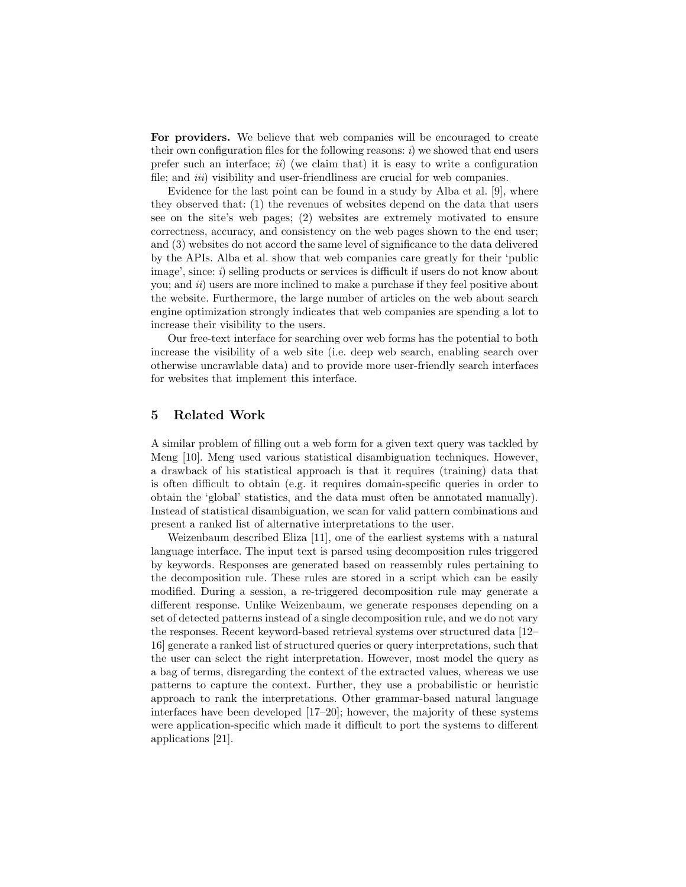For providers. We believe that web companies will be encouraged to create their own configuration files for the following reasons:  $i$ ) we showed that end users prefer such an interface;  $ii)$  (we claim that) it is easy to write a configuration file; and *iii*) visibility and user-friendliness are crucial for web companies.

Evidence for the last point can be found in a study by Alba et al. [9], where they observed that: (1) the revenues of websites depend on the data that users see on the site's web pages; (2) websites are extremely motivated to ensure correctness, accuracy, and consistency on the web pages shown to the end user; and (3) websites do not accord the same level of significance to the data delivered by the APIs. Alba et al. show that web companies care greatly for their 'public image', since: i) selling products or services is difficult if users do not know about you; and  $ii$ ) users are more inclined to make a purchase if they feel positive about the website. Furthermore, the large number of articles on the web about search engine optimization strongly indicates that web companies are spending a lot to increase their visibility to the users.

Our free-text interface for searching over web forms has the potential to both increase the visibility of a web site (i.e. deep web search, enabling search over otherwise uncrawlable data) and to provide more user-friendly search interfaces for websites that implement this interface.

# 5 Related Work

A similar problem of filling out a web form for a given text query was tackled by Meng [10]. Meng used various statistical disambiguation techniques. However, a drawback of his statistical approach is that it requires (training) data that is often difficult to obtain (e.g. it requires domain-specific queries in order to obtain the 'global' statistics, and the data must often be annotated manually). Instead of statistical disambiguation, we scan for valid pattern combinations and present a ranked list of alternative interpretations to the user.

Weizenbaum described Eliza [11], one of the earliest systems with a natural language interface. The input text is parsed using decomposition rules triggered by keywords. Responses are generated based on reassembly rules pertaining to the decomposition rule. These rules are stored in a script which can be easily modified. During a session, a re-triggered decomposition rule may generate a different response. Unlike Weizenbaum, we generate responses depending on a set of detected patterns instead of a single decomposition rule, and we do not vary the responses. Recent keyword-based retrieval systems over structured data [12– 16] generate a ranked list of structured queries or query interpretations, such that the user can select the right interpretation. However, most model the query as a bag of terms, disregarding the context of the extracted values, whereas we use patterns to capture the context. Further, they use a probabilistic or heuristic approach to rank the interpretations. Other grammar-based natural language interfaces have been developed [17–20]; however, the majority of these systems were application-specific which made it difficult to port the systems to different applications [21].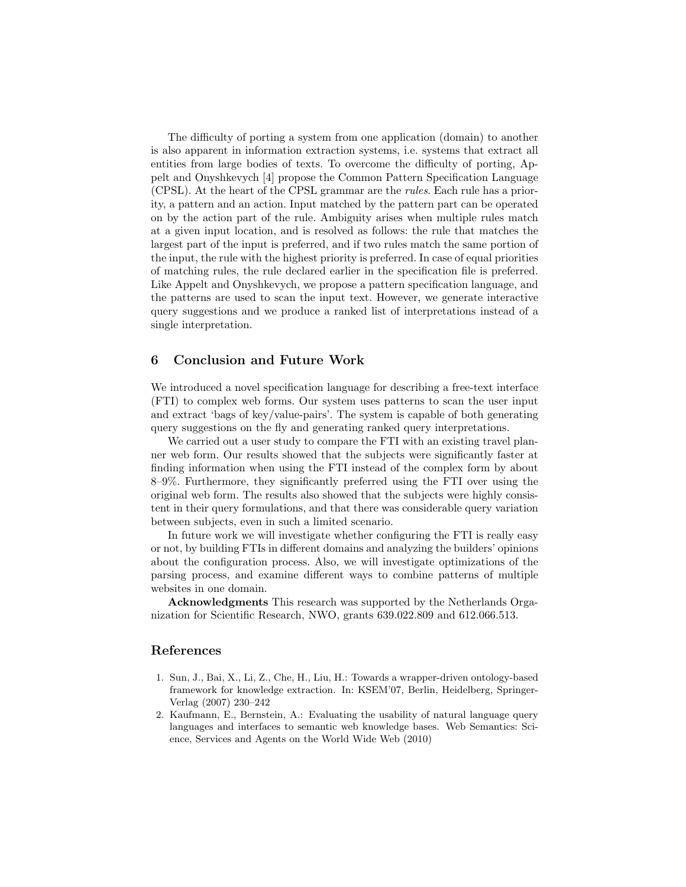The difficulty of porting a system from one application (domain) to another is also apparent in information extraction systems, i.e. systems that extract all entities from large bodies of texts. To overcome the difficulty of porting, Appelt and Onyshkevych [4] propose the Common Pattern Specification Language (CPSL). At the heart of the CPSL grammar are the rules. Each rule has a priority, a pattern and an action. Input matched by the pattern part can be operated on by the action part of the rule. Ambiguity arises when multiple rules match at a given input location, and is resolved as follows: the rule that matches the largest part of the input is preferred, and if two rules match the same portion of the input, the rule with the highest priority is preferred. In case of equal priorities of matching rules, the rule declared earlier in the specification file is preferred. Like Appelt and Onyshkevych, we propose a pattern specification language, and the patterns are used to scan the input text. However, we generate interactive query suggestions and we produce a ranked list of interpretations instead of a single interpretation.

# 6 Conclusion and Future Work

We introduced a novel specification language for describing a free-text interface (FTI) to complex web forms. Our system uses patterns to scan the user input and extract 'bags of key/value-pairs'. The system is capable of both generating query suggestions on the fly and generating ranked query interpretations.

We carried out a user study to compare the FTI with an existing travel planner web form. Our results showed that the subjects were significantly faster at finding information when using the FTI instead of the complex form by about 8–9%. Furthermore, they significantly preferred using the FTI over using the original web form. The results also showed that the subjects were highly consistent in their query formulations, and that there was considerable query variation between subjects, even in such a limited scenario.

In future work we will investigate whether configuring the FTI is really easy or not, by building FTIs in different domains and analyzing the builders' opinions about the configuration process. Also, we will investigate optimizations of the parsing process, and examine different ways to combine patterns of multiple websites in one domain.

Acknowledgments This research was supported by the Netherlands Organization for Scientific Research, NWO, grants 639.022.809 and 612.066.513.

# References

- 1. Sun, J., Bai, X., Li, Z., Che, H., Liu, H.: Towards a wrapper-driven ontology-based framework for knowledge extraction. In: KSEM'07, Berlin, Heidelberg, Springer-Verlag (2007) 230–242
- 2. Kaufmann, E., Bernstein, A.: Evaluating the usability of natural language query languages and interfaces to semantic web knowledge bases. Web Semantics: Science, Services and Agents on the World Wide Web (2010)